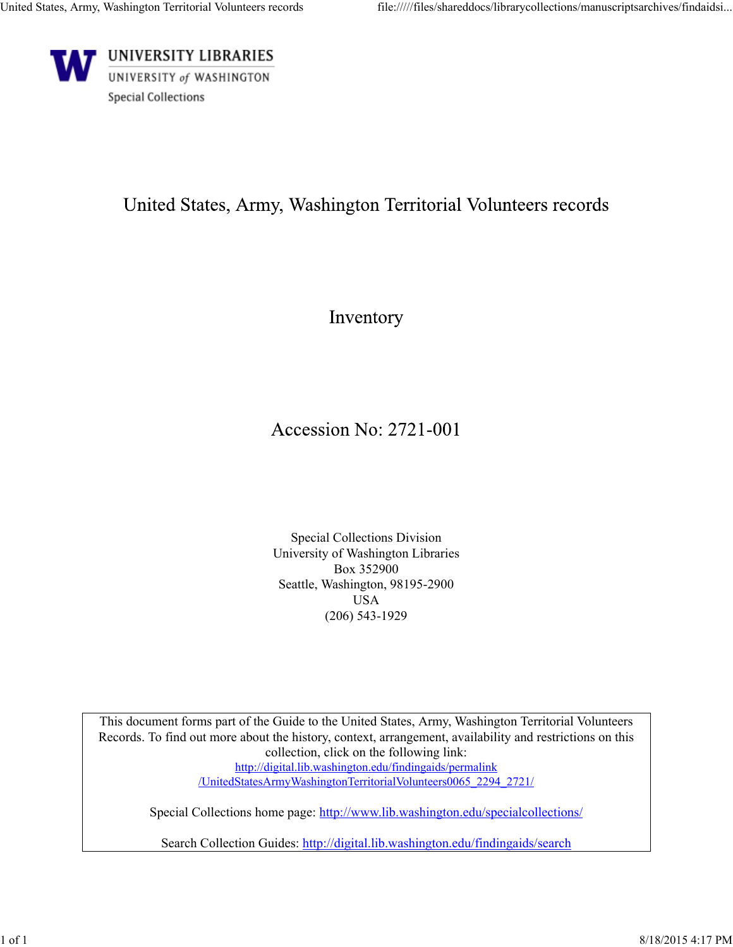

## United States, Army, Washington Territorial Volunteers records

Inventory

## Accession No: 2721-001

Special Collections Division University of Washington Libraries Box 352900 Seattle, Washington, 98195-2900 USA (206) 543-1929

This document forms part of the Guide to the United States, Army, Washington Territorial Volunteers Records. To find out more about the history, context, arrangement, availability and restrictions on this collection, click on the following link: http://digital.lib.washington.edu/findingaids/permalink /UnitedStatesArmyWashingtonTerritorialVolunteers0065\_2294\_2721/

Special Collections home page: http://www.lib.washington.edu/specialcollections/

Search Collection Guides: http://digital.lib.washington.edu/findingaids/search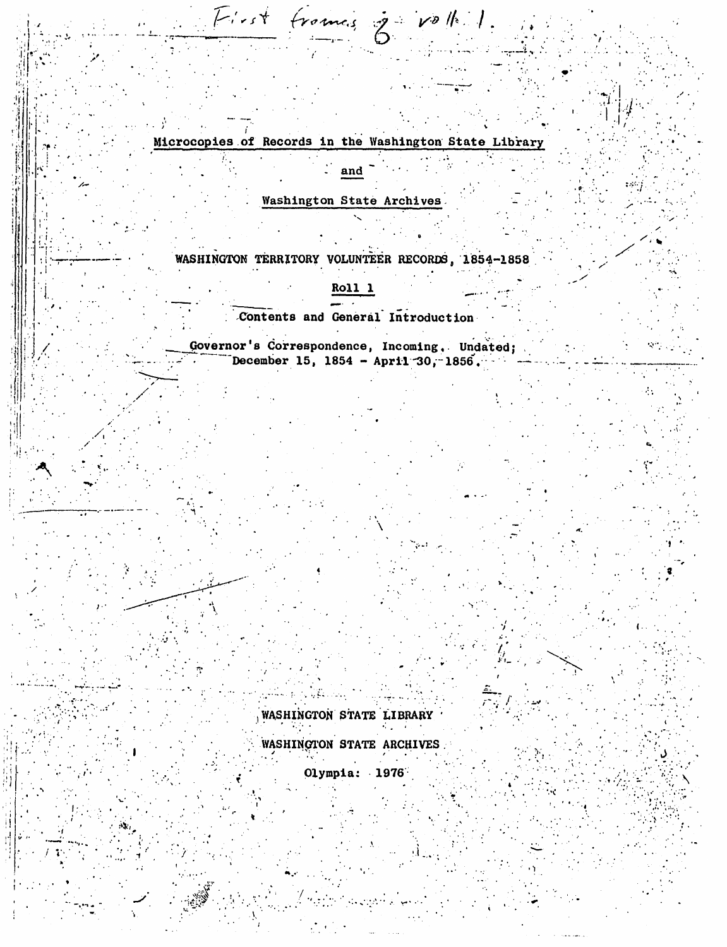Microcopies of Records in the Washington State Library

First frames je volk

and

**Washington State Archives** 

WASHINGTON TERRITORY VOLUNTEER RECORDS, 1854-1858

Roll 1

Contents and General Introduction

Governor's Correspondence, Incoming, Undated; December 15, 1854 - April 30, 1856.

> WASHINGTON STATE LIBRARY WASHINGTON STATE ARCHIVES

> > Olympia: 1976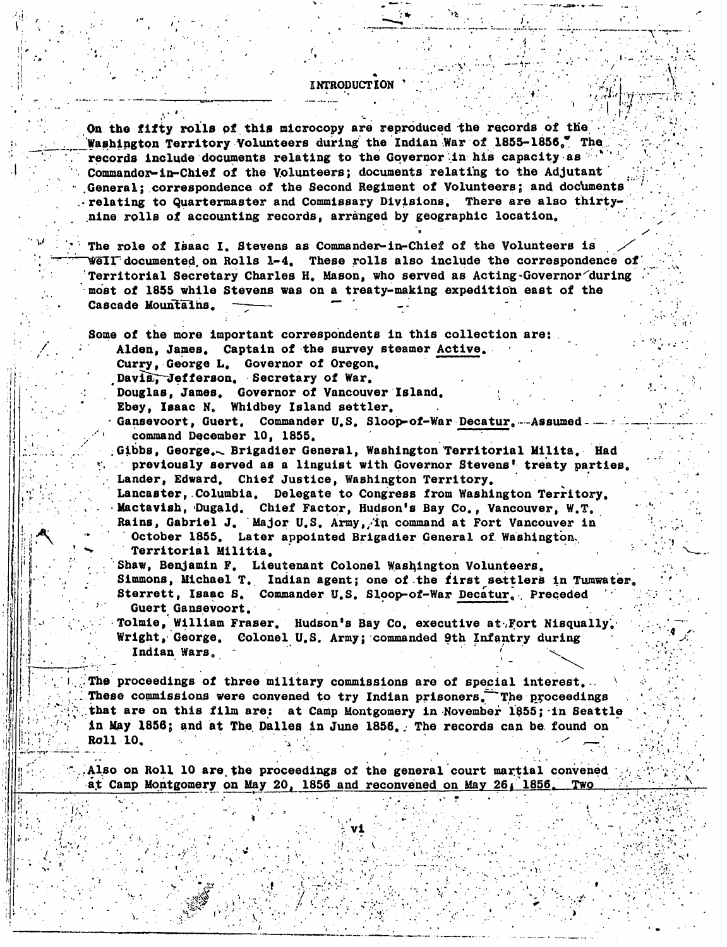**INTRODUCTION** 

On the fifty rolls of this microcopy are reproduced the records of the Washington Territory Volunteers during the Indian War of 1855-1856. The records include documents relating to the Governor in his capacity as " Commander-in-Chief of the Volunteers; documents relating to the Adjutant General: correspondence of the Second Regiment of Volunteers; and documents relating to Quartermaster and Commissary Divisions. There are also thirtynine rolls of accounting records, arranged by geographic location.

The role of Isaac I. Stevens as Commander-in-Chief of the Volunteers is Well documented on Rolls 1-4. These rolls also include the correspondence of Territorial Secretary Charles H. Mason, who served as Acting-Governor during most of 1855 while Stevens was on a treaty-making expedition east of the Cascade Mountains.

Some of the more important correspondents in this collection are: Alden, James. Captain of the survey steamer Active.

Curry, George L. Governor of Oregon.

Davis, Jefferson. Secretary of War.

Douglas, James. Governor of Vancouver Island.

Ebey, Isaac N. Whidbey Island settler.

Gansevoort, Guert. Commander U.S. Sloop-of-War Decatur. Assumed. command December 10, 1855.

Gibbs, George. Brigadier General, Washington Territorial Milita. Had previously served as a linguist with Governor Stevens! treaty parties. Lander, Edward. Chief Justice, Washington Territory.

Lancaster, Columbia. Delegate to Congress from Washington Territory. Mactavish, Dugald. Chief Factor, Hudson's Bay Co., Vancouver, W.T. Rains, Gabriel J. Major U.S. Army, in command at Fort Vancouver in October 1855. Later appointed Brigadier General of Washington. Territorial Militia.

Shaw, Benjamin F. Lieutenant Colonel Washington Volunteers. Simmons, Michael T. Indian agent; one of the first settlers in Tumwater. Sterrett, Isaac S. Commander U.S. Sloop-of-War Decatur. Preceded Guert Gansevoort.

Tolmie, William Fraser. Hudson's Bay Co. executive at Fort Nisqually. Wright, George. Colonel U.S. Army; commanded 9th Infantry during Indian Wars.

The proceedings of three military commissions are of special interest... These commissions were convened to try Indian prisoners. The proceedings that are on this film are: at Camp Montgomery in November 1855; in Seattle in May 1856; and at The Dalles in June 1856. The records can be found on Roll 10.

Also on Roll 10 are the proceedings of the general court martial convened at Camp Montgomery on May 20, 1856 and reconvened on May 26, 1856. Two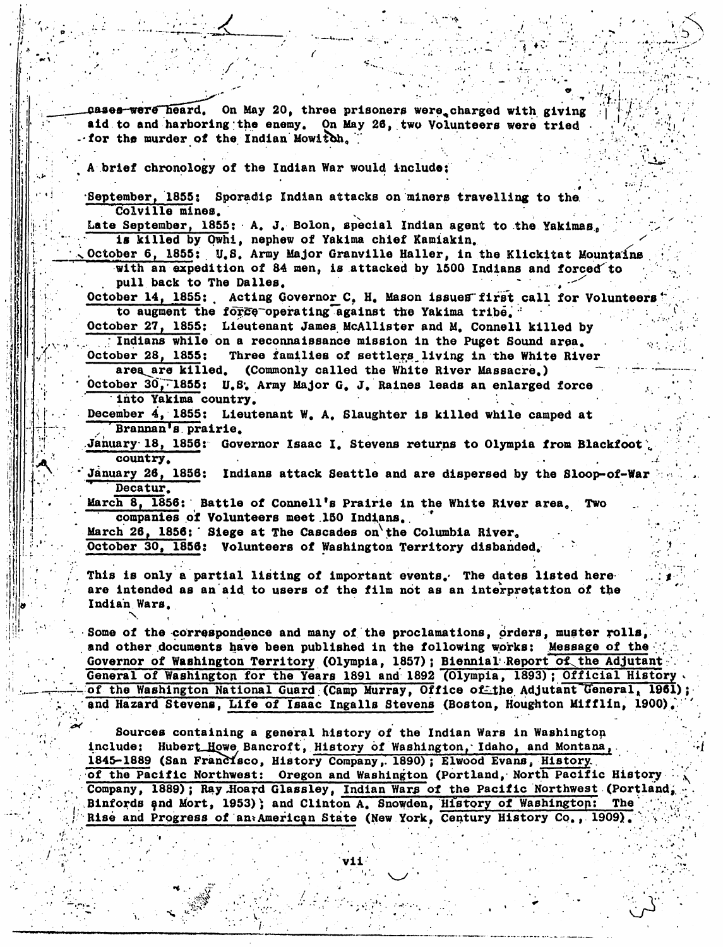cases were heard. On May 20, three prisoners were charged with giving aid to and harboring the enemy. On May 26, two Volunteers were tried for the murder of the Indian Mowitch.

brief chronology of the Indian War would include;

September, 1855: Sporadic Indian attacks on miners travelling to the Colville mines.

Late September, 1855; A. J. Bolon, special Indian agent to the Yakimas. is killed by Owhi, nephew of Yakima chief Kamiakin.

October 6, 1855: U.S. Army Major Granville Haller, in the Klickitat Mountains with an expedition of 84 men, is attacked by 1500 Indians and forced to pull back to The Dalles.

October 14, 1855: Acting Governor C. H. Mason issues first call for Volunteers to augment the force operating against the Yakima tribe.

October 27, 1855: Lieutenant James McAllister and M. Connell killed by

: Indians while on a reconnaissance mission in the Puget Sound area.

Three families of settlers living in the White River October 28, 1855: area are killed. (Commonly called the White River Massacre.)

October 30, 1855: U.S. Army Major G. J. Raines leads an enlarged force into Yakima country.

December 4, 1855: Lieutenant W. A. Slaughter is killed while camped at Brannan's prairie.

January 18, 1856: Governor Isaac I. Stevens returns to Olympia from Blackfoot country.

January 26, 1856: Indians attack Seattle and are dispersed by the Sloop-of-War Decatur.

March 8, 1856: Battle of Connell's Prairie in the White River area. Two companies of Volunteers meet 150 Indians.

March 26, 1856: Siege at The Cascades on the Columbia River. October 30, 1856: Volunteers of Washington Territory disbanded.

This is only a partial listing of important events. The dates listed here are intended as an aid to users of the film not as an interpretation of the Indian Wars.

Some of the correspondence and many of the proclamations, orders, muster rolls, and other documents have been published in the following works: Message of the Governor of Washington Territory (Olympia, 1857); Biennial Report of the Adjutant General of Washington for the Years 1891 and 1892 (Olympia, 1893); Official History of the Washington National Guard (Camp Murray, Office of the Adjutant General, 1961); and Hazard Stevens, Life of Isaac Ingalls Stevens (Boston, Houghton Mifflin, 1900).

Sources containing a general history of the Indian Wars in Washington include: Hubert Howe Bancroft, History of Washington, Idaho, and Montana, 1845-1889 (San Francisco, History Company, 1890); Elwood Evans, History. of the Pacific Northwest: Oregon and Washington (Portland, North Pacific History Company, 1889); Ray Hoard Glassley, Indian Wars of the Pacific Northwest (Portland, Binfords and Mort, 1953); and Clinton A. Snowden, History of Washington: The Rise and Progress of an American State (New York, Century History Co., 1909).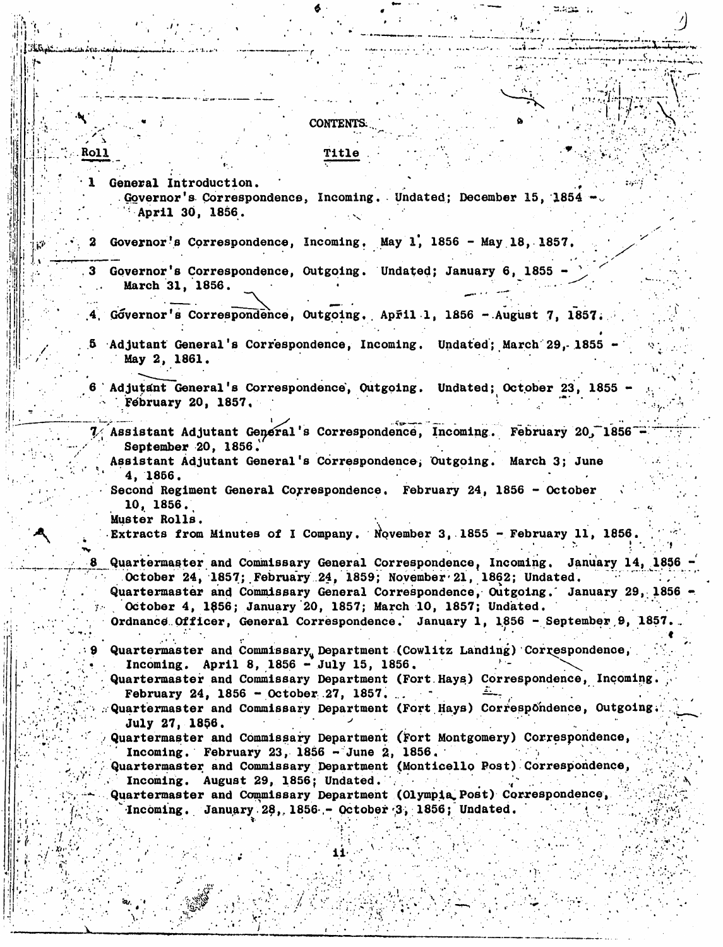**CONTENTS. Roll** Title General Introduction. Governor's Correspondence, Incoming. Undated; December 15, 1854 -April 30, 1856. Governor's Correspondence, Incoming. May 1, 1856 - May 18, 1857. 2 Governor's Correspondence, Outgoing. Undated; January 6, 1855 March 31, 1856. Góvernor's Correspondence, Outgoing, April 1, 1856 - August 7, 1857.  $.4.$ Adjutant General's Correspondence, Incoming. Undated; March 29, 1855 May 2, 1861. 6 Adjutant General's Correspondence, Outgoing. Undated; October 23, 1855 Fébruary 20, 1857, 7/ Assistant Adjutant General's Correspondence, Incoming. February 20, 1856 September 20, 1856. Assistant Adjutant General's Correspondence, Outgoing. March 3; June 4. 1856. Second Regiment General Correspondence. February 24, 1856 - October  $10, 1856.$ Muster Rolls. Extracts from Minutes of I Company. November 3, 1855 - February 11, 1856. Quartermaster and Commissary General Correspondence, Incoming. January 14, 1856 October 24, 1857; February 24, 1859; November 21, 1862; Undated. Quartermaster and Commissary General Correspondence, Outgoing. January 29, 1856 October 4, 1856; January 20, 1857; March 10, 1857; Undated. Ordnance Officer, General Correspondence. January 1, 1856 - September 9, 1857. Quartermaster and Commissary Department (Cowlitz Landing) Correspondence, Incoming. April 8, 1856 - July 15, 1856. Quartermaster and Commissary Department (Fort Hays) Correspondence, Incoming. February 24, 1856 - October 27, 1857. Quartermaster and Commissary Department (Fort Hays) Correspondence, Outgoing. **July 27, 1856.** Quartermaster and Commissary Department (Fort Montgomery) Correspondence, Incoming. February 23, 1856 - June 2, 1856. Quartermaster and Commissary Department (Monticello Post) Correspondence, Incoming. August 29, 1856; Undated. Quartermaster and Commissary Department (Olympia Post) Correspondence, Incoming. January 28, 1856 - October 3, 1856; Undated.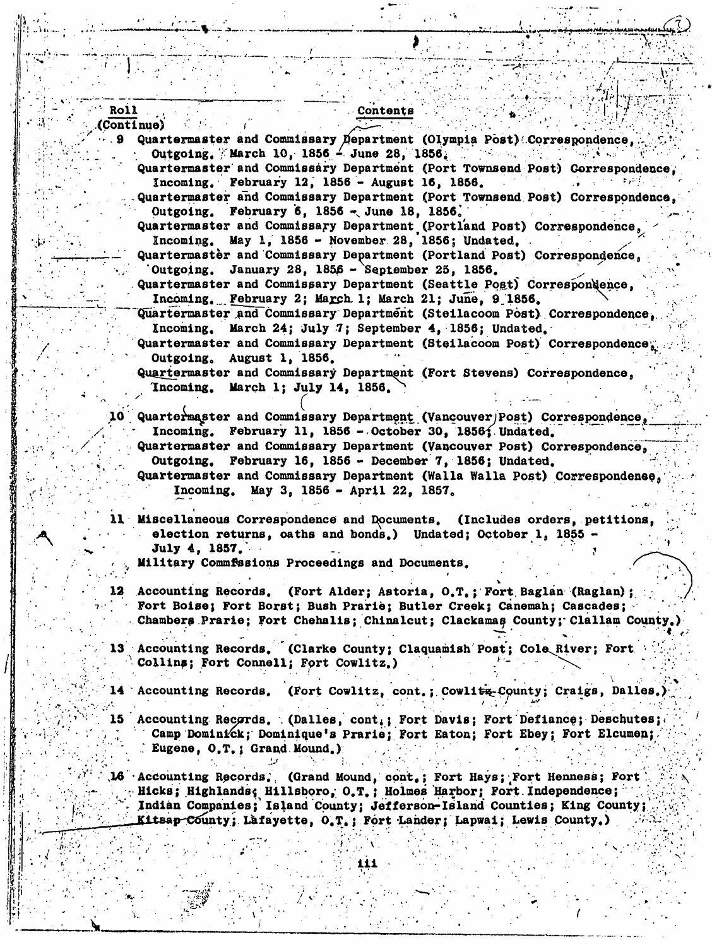## Roll (Continue)

Quartermaster and Commissary Department (Olympia Post) Correspondence. Outgoing. March 10, 1856 - June 28, 1856.  $\mathcal{O}(\mathcal{O}_\mathcal{A})$  . The set of  $\mathcal{O}(\mathcal{O}_\mathcal{A})$ Quartermaster and Commissary Department (Port Townsend Post) Correspondence. Incoming. February 12, 1856 - August 16, 1856. Quartermaster and Commissary Department (Port Townsend Post) Correspondence.

Outgoing. February 6, 1856 - June 18, 1856. Quartermaster and Commissary Department (Portland Post) Correspondence.

Contents

Incoming. May 1, 1856 - November 28, 1856; Undated. Quartermastèr and Commissary Department (Portland Post) Correspondence, Outgoing. January 28,  $1856 -$  September 25, 1856.

Quartermaster and Commissary Department (Seattle Post) Correspondence. Incoming. February 2; March 1; March 21; June, 9 1856.

Quartermaster and Commissary Department (Steilacoom Post) Correspondence. March 24; July 7; September 4, 1856; Undated. Incoming.

Quartermaster and Commissary Department (Steilacoom Post) Correspondence. Outgoing, August 1, 1856.

Quartermaster and Commissary Department (Fort Stevens) Correspondence, Incoming. March 1; July 14, 1856.

10 Quartermaster and Commissary Department (Vancouver/Post) Correspondence, Incoming. February 11, 1856 - October 30, 1856; Undated. Quartermaster and Commissary Department (Vancouver Post) Correspondence. Outgoing. February 16, 1856 - December 7, 1856; Undated. Quartermaster and Commissary Department (Walla Walla Post) Correspondence.

Incoming. May 3, 1856 - April 22, 1857.

11 Miscellaneous Correspondence and Documents. (Includes orders, petitions, election returns, oaths and bonds.) Undated; October 1, 1855 July 4. 1857. .

Military Commfssions Proceedings and Documents.

12 Accounting Records. (Fort Alder; Astoria, O.T.; Fort Baglan (Raglan); Fort Boise; Fort Borst; Bush Prarie; Butler Creek; Canemah; Cascades; Chambers Prarie; Fort Chehalis; Chinalcut; Clackamas County; Clallam County,

Accounting Records. (Clarke County; Claquamish Post; Cole River; Fort. Collins; Fort Connell; Fort Cowlitz.)

14 Accounting Records. (Fort Cowlitz, cont.; Cowlitz-County; Craigs, Dalles.)

Accounting Records. (Dalles, cont.; Fort Davis; Fort Defiance; Deschutes; Camp Dominick; Dominique's Prarie; Fort Eaton; Fort Ebey; Fort Elcumen; Eugene, O.T.; Grand Mound.)

16 Accounting Records. (Grand Mound, cont.; Fort Hays; Fort Henness; Fort Hicks; Highlands; Hillsboro, O.T.; Holmes Harbor; Fort Independence; Indian Companies; Island County; Jefferson-Island Counties; King County; Kitsap-County; Lafayette, O.T.; Fort Lander; Lapwai; Lewis County.)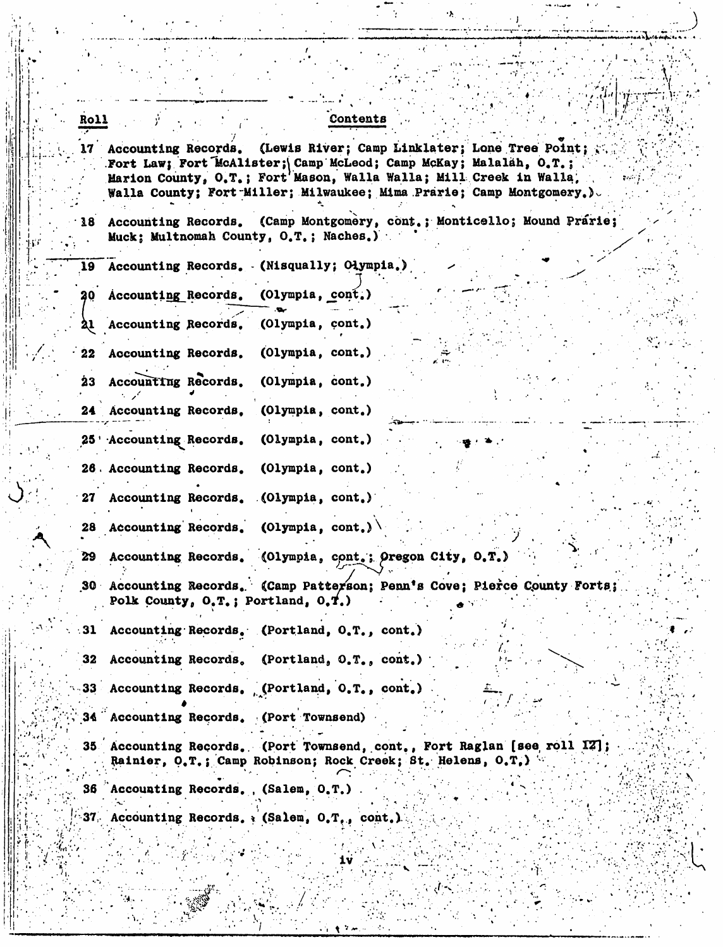|  |  | <b>Contents</b> |  |  |
|--|--|-----------------|--|--|
|  |  |                 |  |  |

(Lewis River; Camp Linklater; Lone Tree Point; 17 Accounting Records. Fort Law; Fort McAlister; Camp McLeod; Camp McKay; Malalah, O.T.; Marion County, O.T.; Fort Mason, Walla Walla; Mill Creek in Walla, Walla County: Fort Miller; Milwaukee; Mima Prarie; Camp Montgomery.)

(Camp Montgomery, cont.; Monticello; Mound Prarie; 18 Accounting Records. Muck: Multnomah County, O.T.; Naches.)

Accounting Records. (Misqually; Olympia.) 19 20 Accounting Records.  $(Olymp1a, con $t$ .)$ (Olympia, cont.) Accounting Records.  $22$ Accounting Records. (Olympia, cont.) Accounting Records. (Olympia, cont.) 23 24 Accounting Records.  $(Olympia, cont.)$ (Olympia, cont.) 25 'Accounting Records. 26 Accounting Records. (Olympia, cont.) Accounting Records.  $(Olympia, cont.)$ 27

Roll

29

28 Accounting Records. (Olympia, cont.)  $\setminus$ 

Accounting Records. (Olympia, cont.; Oregon City, O.T.)

(Camp Patterson; Penn's Cove; Pierce County Forts; 30 Accounting Records. Polk County,  $0, T_s$ ; Portland,  $0, T_s$ )

Accounting Records. (Portland, O.T., cont.) 31

Accounting Records.  $($ Portland,  $0, T_s$ , cont.) 32

33 Accounting Records. (Portland, O.T., cont.)

Accounting Records. (Port Townsend) .34 C

35 Accounting Records. (Port Townsend, cont., Fort Raglan [see roll IZ]; Rainier, O.T.; Camp Robinson; Rock Creek; St. Helens, O.T.)

36 Accounting Records., (Salem, O.T.)

37 Accounting Records. (Salem, O.T., cont.)